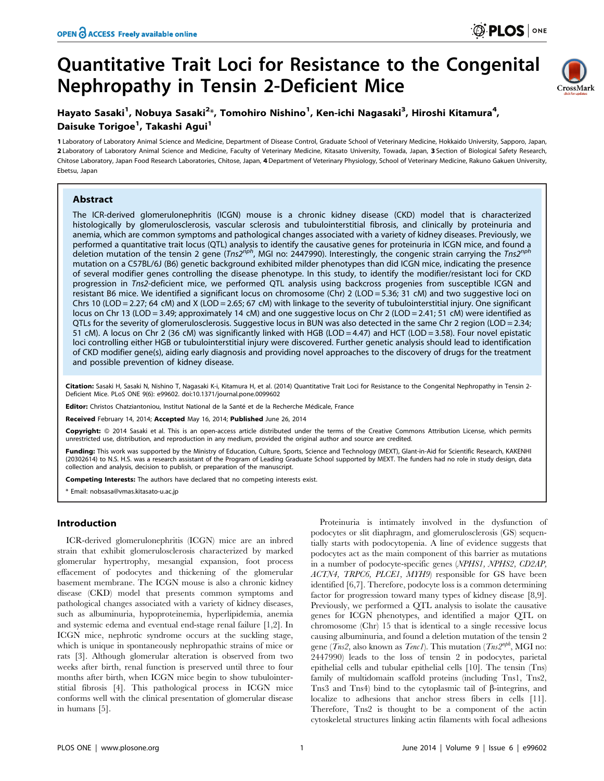# Quantitative Trait Loci for Resistance to the Congenital Nephropathy in Tensin 2-Deficient Mice



# Hayato Sasaki<sup>1</sup>, Nobuya Sasaki<sup>2</sup>\*, Tomohiro Nishino<sup>1</sup>, Ken-ichi Nagasaki<sup>3</sup>, Hiroshi Kitamura<sup>4</sup>, Daisuke Torigoe<sup>1</sup>, Takashi Agui<sup>1</sup>

1 Laboratory of Laboratory Animal Science and Medicine, Department of Disease Control, Graduate School of Veterinary Medicine, Hokkaido University, Sapporo, Japan, 2 Laboratory of Laboratory Animal Science and Medicine, Faculty of Veterinary Medicine, Kitasato University, Towada, Japan, 3 Section of Biological Safety Research, Chitose Laboratory, Japan Food Research Laboratories, Chitose, Japan, 4 Department of Veterinary Physiology, School of Veterinary Medicine, Rakuno Gakuen University, Ebetsu, Japan

## Abstract

The ICR-derived glomerulonephritis (ICGN) mouse is a chronic kidney disease (CKD) model that is characterized histologically by glomerulosclerosis, vascular sclerosis and tubulointerstitial fibrosis, and clinically by proteinuria and anemia, which are common symptoms and pathological changes associated with a variety of kidney diseases. Previously, we performed a quantitative trait locus (QTL) analysis to identify the causative genes for proteinuria in ICGN mice, and found a deletion mutation of the tensin 2 gene (Tns2<sup>nph</sup>, MGI no: 2447990). Interestingly, the congenic strain carrying the Tns2<sup>nph</sup> mutation on a C57BL/6J (B6) genetic background exhibited milder phenotypes than did ICGN mice, indicating the presence of several modifier genes controlling the disease phenotype. In this study, to identify the modifier/resistant loci for CKD progression in Tns2-deficient mice, we performed QTL analysis using backcross progenies from susceptible ICGN and resistant B6 mice. We identified a significant locus on chromosome (Chr) 2 (LOD = 5.36; 31 cM) and two suggestive loci on Chrs 10 (LOD = 2.27; 64 cM) and X (LOD = 2.65; 67 cM) with linkage to the severity of tubulointerstitial injury. One significant locus on Chr 13 (LOD = 3.49; approximately 14 cM) and one suggestive locus on Chr 2 (LOD = 2.41; 51 cM) were identified as QTLs for the severity of glomerulosclerosis. Suggestive locus in BUN was also detected in the same Chr 2 region (LOD = 2.34; 51 cM). A locus on Chr 2 (36 cM) was significantly linked with HGB (LOD = 4.47) and HCT (LOD = 3.58). Four novel epistatic loci controlling either HGB or tubulointerstitial injury were discovered. Further genetic analysis should lead to identification of CKD modifier gene(s), aiding early diagnosis and providing novel approaches to the discovery of drugs for the treatment and possible prevention of kidney disease.

Citation: Sasaki H, Sasaki N, Nishino T, Nagasaki K-i, Kitamura H, et al. (2014) Quantitative Trait Loci for Resistance to the Congenital Nephropathy in Tensin 2-Deficient Mice. PLoS ONE 9(6): e99602. doi:10.1371/journal.pone.0099602

Editor: Christos Chatziantoniou, Institut National de la Santé et de la Recherche Médicale, France

Received February 14, 2014; Accepted May 16, 2014; Published June 26, 2014

Copyright: @ 2014 Sasaki et al. This is an open-access article distributed under the terms of the [Creative Commons Attribution License](http://creativecommons.org/licenses/by/4.0/), which permits unrestricted use, distribution, and reproduction in any medium, provided the original author and source are credited.

Funding: This work was supported by the Ministry of Education, Culture, Sports, Science and Technology (MEXT), Glant-in-Aid for Scientific Research, KAKENHI (20302614) to N.S. H.S. was a research assistant of the Program of Leading Graduate School supported by MEXT. The funders had no role in study design, data collection and analysis, decision to publish, or preparation of the manuscript.

Competing Interests: The authors have declared that no competing interests exist.

\* Email: nobsasa@vmas.kitasato-u.ac.jp

## Introduction

ICR-derived glomerulonephritis (ICGN) mice are an inbred strain that exhibit glomerulosclerosis characterized by marked glomerular hypertrophy, mesangial expansion, foot process effacement of podocytes and thickening of the glomerular basement membrane. The ICGN mouse is also a chronic kidney disease (CKD) model that presents common symptoms and pathological changes associated with a variety of kidney diseases, such as albuminuria, hypoproteinemia, hyperlipidemia, anemia and systemic edema and eventual end-stage renal failure [1,2]. In ICGN mice, nephrotic syndrome occurs at the suckling stage, which is unique in spontaneously nephropathic strains of mice or rats [3]. Although glomerular alteration is observed from two weeks after birth, renal function is preserved until three to four months after birth, when ICGN mice begin to show tubulointerstitial fibrosis [4]. This pathological process in ICGN mice conforms well with the clinical presentation of glomerular disease in humans [5].

Proteinuria is intimately involved in the dysfunction of podocytes or slit diaphragm, and glomerulosclerosis (GS) sequentially starts with podocytopenia. A line of evidence suggests that podocytes act as the main component of this barrier as mutations in a number of podocyte-specific genes (NPHS1, NPHS2, CD2AP, ACTN4, TRPC6, PLCE1, MYH9) responsible for GS have been identified [6,7]. Therefore, podocyte loss is a common determining factor for progression toward many types of kidney disease [8,9]. Previously, we performed a QTL analysis to isolate the causative genes for ICGN phenotypes, and identified a major QTL on chromosome (Chr) 15 that is identical to a single recessive locus causing albuminuria, and found a deletion mutation of the tensin 2 gene ( $\overline{T}ns2$ , also known as  $\overline{T}enc1$ ). This mutation ( $\overline{T}ns2^{nph}$ , MGI no: 2447990) leads to the loss of tensin 2 in podocytes, parietal epithelial cells and tubular epithelial cells [10]. The tensin (Tns) family of multidomain scaffold proteins (including Tns1, Tns2, Tns3 and Tns4) bind to the cytoplasmic tail of  $\beta$ -integrins, and localize to adhesions that anchor stress fibers in cells [11]. Therefore, Tns2 is thought to be a component of the actin cytoskeletal structures linking actin filaments with focal adhesions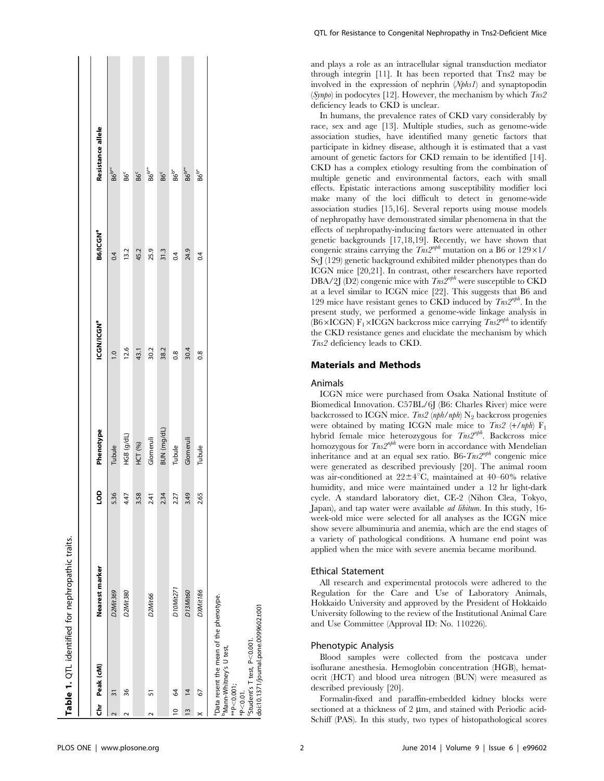|                |                                                                                                                                                 | Table 1. QTL identified for nephropathic traits. |      |                |                        |                      |                               |  |
|----------------|-------------------------------------------------------------------------------------------------------------------------------------------------|--------------------------------------------------|------|----------------|------------------------|----------------------|-------------------------------|--|
|                | Chr Peak (cM)                                                                                                                                   | Nearest marker                                   | go   | Phenotype      | ICGN/ICGN <sup>a</sup> | B6/ICGN <sup>a</sup> | Resistance allele             |  |
|                | $\overline{3}$                                                                                                                                  | D2Mit369                                         | 5.36 | Tubule         | $\frac{10}{10}$        | 0.4                  | $\rm{B6}^{\rm{b**}}$          |  |
|                | 36                                                                                                                                              | D2Mit380                                         | 4.47 | HGB (g/dL)     | 12.6                   | 13.2                 | $\mathsf{B6}^\mathsf{c}$      |  |
|                |                                                                                                                                                 |                                                  | 3.58 | <b>HCT (%)</b> | 43.1                   | 45.2                 | $\mathsf{B6}^\mathsf{c}$      |  |
|                | 51                                                                                                                                              | D2Mit66                                          | 2.41 | Glomeruli      | 30.2                   | 25.9                 | B6 <sup>b**</sup>             |  |
|                |                                                                                                                                                 |                                                  | 2.34 | BUN (mg/dL)    | 38.2                   | 31.3                 | B6 <sup>c</sup>               |  |
| $\overline{a}$ | S                                                                                                                                               | D10Mit271                                        | 2.27 | Tubule         | 0.8                    | 0.4                  | $\rm{B6}^{\rm{b}}$            |  |
| $\tilde{1}$    | $\overline{4}$                                                                                                                                  | D13Mit60                                         | 3.49 | Glomeruli      | 30.4                   | 24.9                 | $\mathsf{B6}^\mathsf{b^{**}}$ |  |
|                | 67                                                                                                                                              | DXMit186                                         | 2.65 | Tubule         | 0.8                    | 0.4                  | **<br>86                      |  |
|                | "Data resent the mean of the phenotype.<br>"Student's T test, P<0.001.<br><sup>b</sup> Mann-Whitney's U test,<br>$*P < 0.001;$<br>$*P < 0.01$ . |                                                  |      |                |                        |                      |                               |  |

and plays a role as an intracellular signal transduction mediator through integrin [11]. It has been reported that Tns2 may be involved in the expression of nephrin (Nphs1) and synaptopodin (Synpo) in podocytes [12]. However, the mechanism by which  $T_{ns2}$ deficiency leads to CKD is unclear.

In humans, the prevalence rates of CKD vary considerably by race, sex and age [13]. Multiple studies, such as genome-wide association studies, have identified many genetic factors that participate in kidney disease, although it is estimated that a vast amount of genetic factors for CKD remain to be identified [14]. CKD has a complex etiology resulting from the combination of multiple genetic and environmental factors, each with small effects. Epistatic interactions among susceptibility modifier loci make many of the loci difficult to detect in genome-wide association studies [15,16]. Several reports using mouse models of nephropathy have demonstrated similar phenomena in that the effects of nephropathy-inducing factors were attenuated in other genetic backgrounds [17,18,19]. Recently, we have shown that congenic strains carrying the  $Tns2^{nph}$  mutation on a B6 or 129×1/ SvJ (129) genetic background exhibited milder phenotypes than do ICGN mice [20,21]. In contrast, other researchers have reported DBA/2J (D2) congenic mice with  $T_{ns}2^{nph}$  were susceptible to CKD at a level similar to ICGN mice [22]. This suggests that B6 and 129 mice have resistant genes to CKD induced by  $T_{ns}2^{nph}$ . In the present study, we performed a genome-wide linkage analysis in (B6×ICGN) F<sub>1</sub>×ICGN backcross mice carrying  $T_{ns}2^{nph}$  to identify the CKD resistance genes and elucidate the mechanism by which Tns2 deficiency leads to CKD.

## Materials and Methods

#### Animals

ICGN mice were purchased from Osaka National Institute of Biomedical Innovation. C57BL/6J (B6: Charles River) mice were backcrossed to ICGN mice. Tns2 (nph/nph)  $N_2$  backcross progenies were obtained by mating ICGN male mice to  $Tns2$  (+/nph)  $F_1$ hybrid female mice heterozygous for  $T_{ns2}^{nph}$ . Backcross mice homozygous for  $T_{ns}2^{nph}$  were born in accordance with Mendelian inheritance and at an equal sex ratio. B6- $T_{ns}2^{nph}$  congenic mice were generated as described previously [20]. The animal room was air-conditioned at  $22 \pm 4^{\circ}$ C, maintained at  $40-60\%$  relative humidity, and mice were maintained under a 12 hr light-dark cycle. A standard laboratory diet, CE-2 (Nihon Clea, Tokyo, Japan), and tap water were available ad libitum. In this study, 16 week-old mice were selected for all analyses as the ICGN mice show severe albuminuria and anemia, which are the end stages of a variety of pathological conditions. A humane end point was applied when the mice with severe anemia became moribund.

#### Ethical Statement

All research and experimental protocols were adhered to the Regulation for the Care and Use of Laboratory Animals, Hokkaido University and approved by the President of Hokkaido University following to the review of the Institutional Animal Care and Use Committee (Approval ID: No. 110226).

#### Phenotypic Analysis

Blood samples were collected from the postcava under isoflurane anesthesia. Hemoglobin concentration (HGB), hematocrit (HCT) and blood urea nitrogen (BUN) were measured as described previously [20].

Formalin-fixed and paraffin-embedded kidney blocks were sectioned at a thickness of  $2 \mu m$ , and stained with Periodic acid-Schiff (PAS). In this study, two types of histopathological scores

doi:10.1371/journal.pone.0099602.t001

doi:10.1371/journal.pone.0099602.t00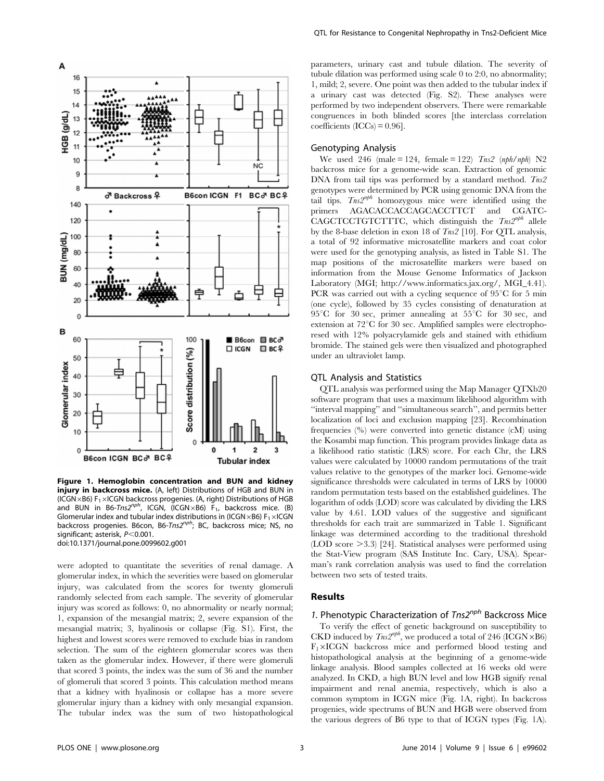

Figure 1. Hemoglobin concentration and BUN and kidney injury in backcross mice. (A, left) Distributions of HGB and BUN in (ICGN  $\times$ B6) F<sub>1</sub> $\times$ ICGN backcross progenies. (A, right) Distributions of HGB and BUN in B6-Tns2<sup>nph</sup>, ICGN, (ICGN×B6)  $F_1$ , backcross mice. (B) Glomerular index and tubular index distributions in (ICGN $\times$ B6) F<sub>1</sub> $\times$ ICGN backcross progenies. B6con, B6-Tns2 $n^{p}$ ; BC, backcross mice; NS, no significant; asterisk,  $P < 0.001$ . doi:10.1371/journal.pone.0099602.g001

were adopted to quantitate the severities of renal damage. A glomerular index, in which the severities were based on glomerular injury, was calculated from the scores for twenty glomeruli randomly selected from each sample. The severity of glomerular injury was scored as follows: 0, no abnormality or nearly normal; 1, expansion of the mesangial matrix; 2, severe expansion of the mesangial matrix; 3, hyalinosis or collapse (Fig. S1). First, the highest and lowest scores were removed to exclude bias in random selection. The sum of the eighteen glomerular scores was then taken as the glomerular index. However, if there were glomeruli that scored 3 points, the index was the sum of 36 and the number of glomeruli that scored 3 points. This calculation method means that a kidney with hyalinosis or collapse has a more severe glomerular injury than a kidney with only mesangial expansion. The tubular index was the sum of two histopathological parameters, urinary cast and tubule dilation. The severity of tubule dilation was performed using scale 0 to 2:0, no abnormality; 1, mild; 2, severe. One point was then added to the tubular index if a urinary cast was detected (Fig. S2). These analyses were performed by two independent observers. There were remarkable congruences in both blinded scores [the interclass correlation  $coefficients (ICCs) = 0.96$ .

#### Genotyping Analysis

We used 246 (male = 124, female = 122)  $T_{ns2}$  (nph/nph) N2 backcross mice for a genome-wide scan. Extraction of genomic DNA from tail tips was performed by a standard method.  $T_{ns2}$ genotypes were determined by PCR using genomic DNA from the tail tips.  $T_{ns}2^{nph}$  homozygous mice were identified using the primers AGACACCACCAGCACCTTCT and CGATC-CAGCTCCTGTCTTTC, which distinguish the  $T_{ns}2^{nph}$  allele by the 8-base deletion in exon 18 of  $Tns2$  [10]. For QTL analysis, a total of 92 informative microsatellite markers and coat color were used for the genotyping analysis, as listed in Table S1. The map positions of the microsatellite markers were based on information from the Mouse Genome Informatics of Jackson Laboratory (MGI; http://www.informatics.jax.org/, MGI\_4.41). PCR was carried out with a cycling sequence of  $95^{\circ}$ C for 5 min (one cycle), followed by 35 cycles consisting of denaturation at 95<sup>°</sup>C for 30 sec, primer annealing at  $55^{\circ}$ C for 30 sec, and extension at  $72^{\circ}$ C for 30 sec. Amplified samples were electrophoresed with 12% polyacrylamide gels and stained with ethidium bromide. The stained gels were then visualized and photographed under an ultraviolet lamp.

## QTL Analysis and Statistics

QTL analysis was performed using the Map Manager QTXb20 software program that uses a maximum likelihood algorithm with ''interval mapping'' and ''simultaneous search'', and permits better localization of loci and exclusion mapping [23]. Recombination frequencies (%) were converted into genetic distance (cM) using the Kosambi map function. This program provides linkage data as a likelihood ratio statistic (LRS) score. For each Chr, the LRS values were calculated by 10000 random permutations of the trait values relative to the genotypes of the marker loci. Genome-wide significance thresholds were calculated in terms of LRS by 10000 random permutation tests based on the established guidelines. The logarithm of odds (LOD) score was calculated by dividing the LRS value by 4.61. LOD values of the suggestive and significant thresholds for each trait are summarized in Table 1. Significant linkage was determined according to the traditional threshold  $(LOD score > 3.3)$  [24]. Statistical analyses were performed using the Stat-View program (SAS Institute Inc. Cary, USA). Spearman's rank correlation analysis was used to find the correlation between two sets of tested traits.

## Results

## 1. Phenotypic Characterization of  $Tns2^{nph}$  Backcross Mice

To verify the effect of genetic background on susceptibility to CKD induced by  $T_{ns2}^{nph}$ , we produced a total of 246 (ICGN $\times$ B6)  $F_1\times ICGN$  backcross mice and performed blood testing and histopathological analysis at the beginning of a genome-wide linkage analysis. Blood samples collected at 16 weeks old were analyzed. In CKD, a high BUN level and low HGB signify renal impairment and renal anemia, respectively, which is also a common symptom in ICGN mice (Fig. 1A, right). In backcross progenies, wide spectrums of BUN and HGB were observed from the various degrees of B6 type to that of ICGN types (Fig. 1A).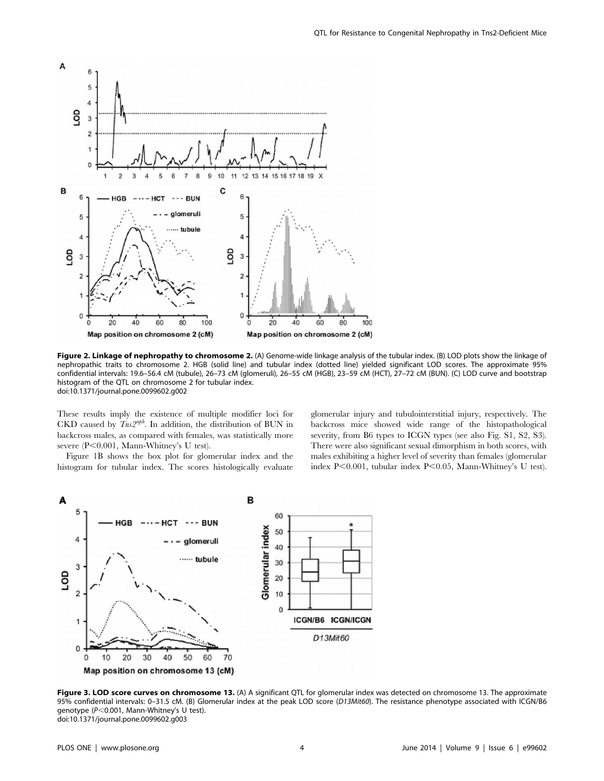

Figure 2. Linkage of nephropathy to chromosome 2. (A) Genome-wide linkage analysis of the tubular index. (B) LOD plots show the linkage of nephropathic traits to chromosome 2. HGB (solid line) and tubular index (dotted line) yielded significant LOD scores. The approximate 95% confidential intervals: 19.6–56.4 cM (tubule), 26–73 cM (glomeruli), 26–55 cM (HGB), 23–59 cM (HCT), 27–72 cM (BUN). (C) LOD curve and bootstrap histogram of the QTL on chromosome 2 for tubular index. doi:10.1371/journal.pone.0099602.g002

These results imply the existence of multiple modifier loci for CKD caused by  $T_{ns2}^{nph}$ . In addition, the distribution of BUN in backcross males, as compared with females, was statistically more severe (P<0.001, Mann-Whitney's U test).

Figure 1B shows the box plot for glomerular index and the histogram for tubular index. The scores histologically evaluate glomerular injury and tubulointerstitial injury, respectively. The backcross mice showed wide range of the histopathological severity, from B6 types to ICGN types (see also Fig. S1, S2, S3). There were also significant sexual dimorphism in both scores, with males exhibiting a higher level of severity than females (glomerular index P $<$ 0.001, tubular index P $<$ 0.05, Mann-Whitney's U test).



Figure 3. LOD score curves on chromosome 13. (A) A significant QTL for glomerular index was detected on chromosome 13. The approximate 95% confidential intervals: 0–31.5 cM. (B) Glomerular index at the peak LOD score (D13Mit60). The resistance phenotype associated with ICGN/B6 genotype ( $P<$ 0.001, Mann-Whitney's U test). doi:10.1371/journal.pone.0099602.g003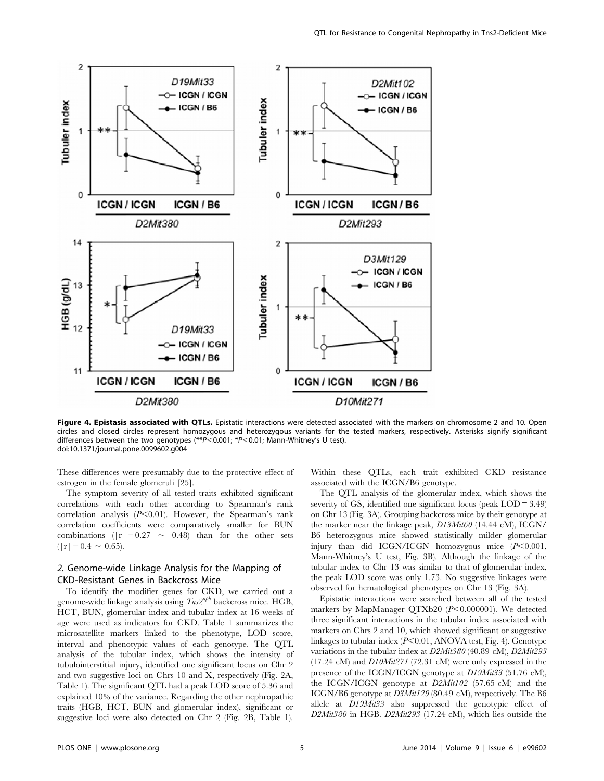

Figure 4. Epistasis associated with OTLs. Epistatic interactions were detected associated with the markers on chromosome 2 and 10. Open circles and closed circles represent homozygous and heterozygous variants for the tested markers, respectively. Asterisks signify significant differences between the two genotypes  $(*p<0.001; *p<0.01;$  Mann-Whitney's U test). doi:10.1371/journal.pone.0099602.g004

These differences were presumably due to the protective effect of estrogen in the female glomeruli [25].

The symptom severity of all tested traits exhibited significant correlations with each other according to Spearman's rank correlation analysis  $(P<0.01)$ . However, the Spearman's rank correlation coefficients were comparatively smaller for BUN combinations  $(|r| = 0.27 \sim 0.48)$  than for the other sets  $(|r| = 0.4 \sim 0.65)$ .

## 2. Genome-wide Linkage Analysis for the Mapping of CKD-Resistant Genes in Backcross Mice

To identify the modifier genes for CKD, we carried out a genome-wide linkage analysis using  $Tns2^{nph}$  backcross mice. HGB, HCT, BUN, glomerular index and tubular index at 16 weeks of age were used as indicators for CKD. Table 1 summarizes the microsatellite markers linked to the phenotype, LOD score, interval and phenotypic values of each genotype. The QTL analysis of the tubular index, which shows the intensity of tubulointerstitial injury, identified one significant locus on Chr 2 and two suggestive loci on Chrs 10 and X, respectively (Fig. 2A, Table 1). The significant QTL had a peak LOD score of 5.36 and explained 10% of the variance. Regarding the other nephropathic traits (HGB, HCT, BUN and glomerular index), significant or suggestive loci were also detected on Chr 2 (Fig. 2B, Table 1).

Within these QTLs, each trait exhibited CKD resistance associated with the ICGN/B6 genotype.

The QTL analysis of the glomerular index, which shows the severity of GS, identified one significant locus (peak LOD = 3.49) on Chr 13 (Fig. 3A). Grouping backcross mice by their genotype at the marker near the linkage peak, D13Mit60 (14.44 cM), ICGN/ B6 heterozygous mice showed statistically milder glomerular injury than did ICGN/ICGN homozygous mice  $(P<0.001$ , Mann-Whitney's U test, Fig. 3B). Although the linkage of the tubular index to Chr 13 was similar to that of glomerular index, the peak LOD score was only 1.73. No suggestive linkages were observed for hematological phenotypes on Chr 13 (Fig. 3A).

Epistatic interactions were searched between all of the tested markers by MapManager QTXb20  $(P<0.000001)$ . We detected three significant interactions in the tubular index associated with markers on Chrs 2 and 10, which showed significant or suggestive linkages to tubular index  $(P<0.01, ANOVA$  test, Fig. 4). Genotype variations in the tubular index at D2Mit380 (40.89 cM), D2Mit293  $(17.24 \text{ cM})$  and  $D10Mit271$  (72.31 cM) were only expressed in the presence of the ICGN/ICGN genotype at D19Mit33 (51.76 cM), the ICGN/ICGN genotype at D2Mit102 (57.65 cM) and the ICGN/B6 genotype at D3Mit129 (80.49 cM), respectively. The B6 allele at D19Mit33 also suppressed the genotypic effect of D2Mit380 in HGB. D2Mit293 (17.24 cM), which lies outside the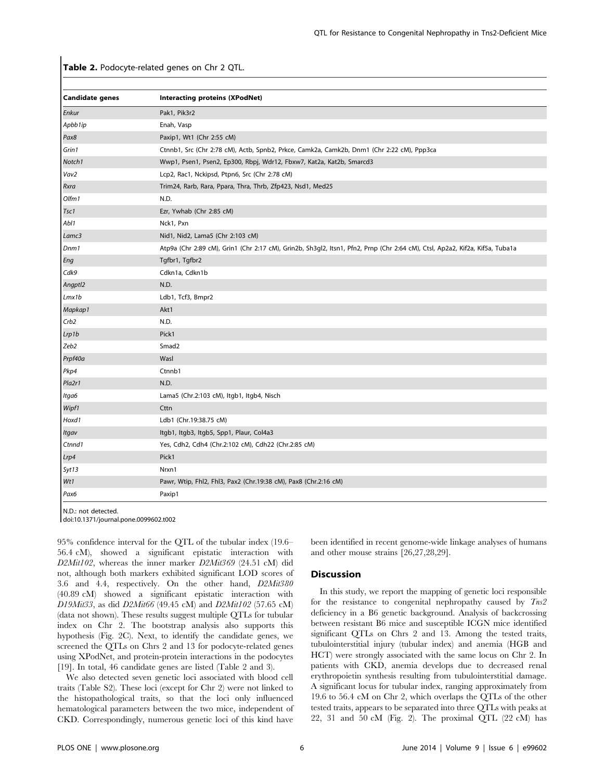Table 2. Podocyte-related genes on Chr 2 QTL.

| <b>Candidate genes</b> | Interacting proteins (XPodNet)                                                                                               |
|------------------------|------------------------------------------------------------------------------------------------------------------------------|
| Enkur                  | Pak1, Pik3r2                                                                                                                 |
| Apbb1ip                | Enah, Vasp                                                                                                                   |
| Pax8                   | Paxip1, Wt1 (Chr 2:55 cM)                                                                                                    |
| Grin1                  | Ctnnb1, Src (Chr 2:78 cM), Actb, Spnb2, Prkce, Camk2a, Camk2b, Dnm1 (Chr 2:22 cM), Ppp3ca                                    |
| Notch1                 | Wwp1, Psen1, Psen2, Ep300, Rbpj, Wdr12, Fbxw7, Kat2a, Kat2b, Smarcd3                                                         |
| Vav2                   | Lcp2, Rac1, Nckipsd, Ptpn6, Src (Chr 2:78 cM)                                                                                |
| Rxra                   | Trim24, Rarb, Rara, Ppara, Thra, Thrb, Zfp423, Nsd1, Med25                                                                   |
| Olfm1                  | N.D.                                                                                                                         |
| Tsc1                   | Ezr, Ywhab (Chr 2:85 cM)                                                                                                     |
| Abl1                   | Nck1, Pxn                                                                                                                    |
| Lamc3                  | Nid1, Nid2, Lama5 (Chr 2:103 cM)                                                                                             |
| Dnm1                   | Atp9a (Chr 2:89 cM), Grin1 (Chr 2:17 cM), Grin2b, Sh3gl2, Itsn1, Pfn2, Prnp (Chr 2:64 cM), Ctsl, Ap2a2, Kif2a, Kif5a, Tuba1a |
| Eng                    | Tgfbr1, Tgfbr2                                                                                                               |
| Cdk9                   | Cdkn1a, Cdkn1b                                                                                                               |
| Angptl2                | N.D.                                                                                                                         |
| Lmx1b                  | Ldb1, Tcf3, Bmpr2                                                                                                            |
| Mapkap1                | Akt1                                                                                                                         |
| Crb2                   | N.D.                                                                                                                         |
| Lrp1b                  | Pick1                                                                                                                        |
| Zeb2                   | Smad <sub>2</sub>                                                                                                            |
| Prpf40a                | Wasl                                                                                                                         |
| Pkp4                   | Ctnnb1                                                                                                                       |
| Pla2r1                 | N.D.                                                                                                                         |
| Itga6                  | Lama5 (Chr.2:103 cM), Itgb1, Itgb4, Nisch                                                                                    |
| Wipf1                  | Cttn                                                                                                                         |
| Hoxd1                  | Ldb1 (Chr.19:38.75 cM)                                                                                                       |
| Itgav                  | Itgb1, Itgb3, Itgb5, Spp1, Plaur, Col4a3                                                                                     |
| Ctnnd1                 | Yes, Cdh2, Cdh4 (Chr.2:102 cM), Cdh22 (Chr.2:85 cM)                                                                          |
| Lrp4                   | Pick1                                                                                                                        |
| Syt13                  | Nrxn1                                                                                                                        |
| Wt1                    | Pawr, Wtip, Fhl2, Fhl3, Pax2 (Chr.19:38 cM), Pax8 (Chr.2:16 cM)                                                              |
| Pax6                   | Paxip1                                                                                                                       |

N.D.: not detected.

doi:10.1371/journal.pone.0099602.t002

95% confidence interval for the QTL of the tubular index (19.6– 56.4 cM), showed a significant epistatic interaction with D2Mit102, whereas the inner marker D2Mit369 (24.51 cM) did not, although both markers exhibited significant LOD scores of 3.6 and 4.4, respectively. On the other hand, D2Mit380 (40.89 cM) showed a significant epistatic interaction with D19Mit33, as did D2Mit66 (49.45 cM) and D2Mit102 (57.65 cM) (data not shown). These results suggest multiple QTLs for tubular index on Chr 2. The bootstrap analysis also supports this hypothesis (Fig. 2C). Next, to identify the candidate genes, we screened the QTLs on Chrs 2 and 13 for podocyte-related genes using XPodNet, and protein-protein interactions in the podocytes [19]. In total, 46 candidate genes are listed (Table 2 and 3).

We also detected seven genetic loci associated with blood cell traits (Table S2). These loci (except for Chr 2) were not linked to the histopathological traits, so that the loci only influenced hematological parameters between the two mice, independent of CKD. Correspondingly, numerous genetic loci of this kind have been identified in recent genome-wide linkage analyses of humans and other mouse strains [26,27,28,29].

#### Discussion

In this study, we report the mapping of genetic loci responsible for the resistance to congenital nephropathy caused by  $T_{ns2}$ deficiency in a B6 genetic background. Analysis of backcrossing between resistant B6 mice and susceptible ICGN mice identified significant QTLs on Chrs 2 and 13. Among the tested traits, tubulointerstitial injury (tubular index) and anemia (HGB and HCT) were strongly associated with the same locus on Chr 2. In patients with CKD, anemia develops due to decreased renal erythropoietin synthesis resulting from tubulointerstitial damage. A significant locus for tubular index, ranging approximately from 19.6 to 56.4 cM on Chr 2, which overlaps the QTLs of the other tested traits, appears to be separated into three QTLs with peaks at 22, 31 and 50 cM (Fig. 2). The proximal QTL (22 cM) has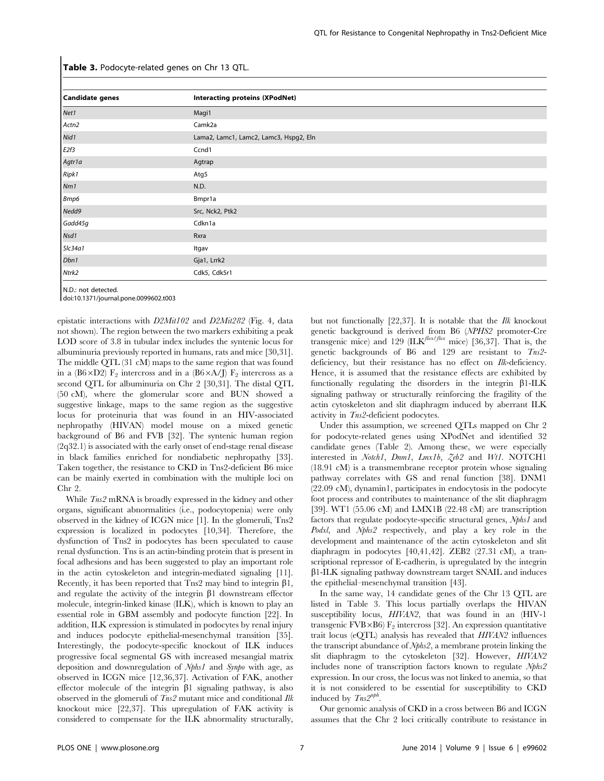| <b>Candidate genes</b> | <b>Interacting proteins (XPodNet)</b>  |
|------------------------|----------------------------------------|
| Net1                   | Magi1                                  |
| Actn2                  | Camk2a                                 |
| Nid1                   | Lama2, Lamc1, Lamc2, Lamc3, Hspg2, Eln |
| E2f3                   | Ccnd1                                  |
| Agtr1a                 | Agtrap                                 |
| Ripk1                  | Atg5                                   |
| Nm1                    | N.D.                                   |
| Bmp6                   | Bmpr1a                                 |
| Nedd9                  | Src, Nck2, Ptk2                        |
| Gadd45g                | Cdkn1a                                 |
| Nsd1                   | Rxra                                   |
| Slc34a1                | Itgav                                  |
| Dbn1                   | Gja1, Lrrk2                            |
| Ntrk2                  | Cdk5, Cdk5r1                           |

Table 3. Podocyte-related genes on Chr 13 QTL.

N.D.: not detected.

doi:10.1371/journal.pone.0099602.t003

epistatic interactions with D2Mit102 and D2Mit282 (Fig. 4, data not shown). The region between the two markers exhibiting a peak LOD score of 3.8 in tubular index includes the syntenic locus for albuminuria previously reported in humans, rats and mice [30,31]. The middle QTL (31 cM) maps to the same region that was found in a (B6×D2) F<sub>2</sub> intercross and in a (B6×A/J) F<sub>2</sub> intercross as a second QTL for albuminuria on Chr 2 [30,31]. The distal QTL (50 cM), where the glomerular score and BUN showed a suggestive linkage, maps to the same region as the suggestive locus for proteinuria that was found in an HIV-associated nephropathy (HIVAN) model mouse on a mixed genetic background of B6 and FVB [32]. The syntenic human region (2q32.1) is associated with the early onset of end-stage renal disease in black families enriched for nondiabetic nephropathy [33]. Taken together, the resistance to CKD in Tns2-deficient B6 mice can be mainly exerted in combination with the multiple loci on Chr 2.

While  $T_{ns2}$  mRNA is broadly expressed in the kidney and other organs, significant abnormalities (i.e., podocytopenia) were only observed in the kidney of ICGN mice [1]. In the glomeruli, Tns2 expression is localized in podocytes [10,34]. Therefore, the dysfunction of Tns2 in podocytes has been speculated to cause renal dysfunction. Tns is an actin-binding protein that is present in focal adhesions and has been suggested to play an important role in the actin cytoskeleton and integrin-mediated signaling [11]. Recently, it has been reported that  $Tns2$  may bind to integrin  $\beta1$ , and regulate the activity of the integrin  $\beta$ 1 downstream effector molecule, integrin-linked kinase (ILK), which is known to play an essential role in GBM assembly and podocyte function [22]. In addition, ILK expression is stimulated in podocytes by renal injury and induces podocyte epithelial-mesenchymal transition [35]. Interestingly, the podocyte-specific knockout of ILK induces progressive focal segmental GS with increased mesangial matrix deposition and downregulation of Nphs1 and Synpo with age, as observed in ICGN mice [12,36,37]. Activation of FAK, another effector molecule of the integrin  $\beta$ 1 signaling pathway, is also observed in the glomeruli of  $T_{ns2}$  mutant mice and conditional Ilk knockout mice [22,37]. This upregulation of FAK activity is considered to compensate for the ILK abnormality structurally, but not functionally [22,37]. It is notable that the Ilk knockout genetic background is derived from B6 (NPHS2 promoter-Cre transgenic mice) and 129 (ILK<sup>flox/flox</sup> mice) [36,37]. That is, the genetic backgrounds of B6 and 129 are resistant to Tns2 deficiency, but their resistance has no effect on Ilk-deficiency. Hence, it is assumed that the resistance effects are exhibited by functionally regulating the disorders in the integrin  $\beta$ 1-ILK signaling pathway or structurally reinforcing the fragility of the actin cytoskeleton and slit diaphragm induced by aberrant ILK activity in Tns2-deficient podocytes.

Under this assumption, we screened QTLs mapped on Chr 2 for podocyte-related genes using XPodNet and identified 32 candidate genes (Table 2). Among these, we were especially interested in Notch1, Dnm1, Lmx1b, Zeb2 and Wt1. NOTCH1 (18.91 cM) is a transmembrane receptor protein whose signaling pathway correlates with GS and renal function [38]. DNM1 (22.09 cM), dynamin1, participates in endocytosis in the podocyte foot process and contributes to maintenance of the slit diaphragm [39]. WT1 (55.06 cM) and LMX1B (22.48 cM) are transcription factors that regulate podocyte-specific structural genes, *Nphs1* and Podxl, and Nphs2 respectively, and play a key role in the development and maintenance of the actin cytoskeleton and slit diaphragm in podocytes [40,41,42]. ZEB2 (27.31 cM), a transcriptional repressor of E-cadherin, is upregulated by the integrin  $\beta$ 1-ILK signaling pathway downstream target SNAIL and induces the epithelial–mesenchymal transition [43].

In the same way, 14 candidate genes of the Chr 13 QTL are listed in Table 3. This locus partially overlaps the HIVAN susceptibility locus, HIVAN2, that was found in an (HIV-1 transgenic FVB $\times$ B6) F<sub>2</sub> intercross [32]. An expression quantitative trait locus (eQTL) analysis has revealed that HIVAN2 influences the transcript abundance of Nphs2, a membrane protein linking the slit diaphragm to the cytoskeleton [32]. However, HIVAN2 includes none of transcription factors known to regulate Nphs2 expression. In our cross, the locus was not linked to anemia, so that it is not considered to be essential for susceptibility to CKD induced by  $T_{ns}2^{nph}$ .

Our genomic analysis of CKD in a cross between B6 and ICGN assumes that the Chr 2 loci critically contribute to resistance in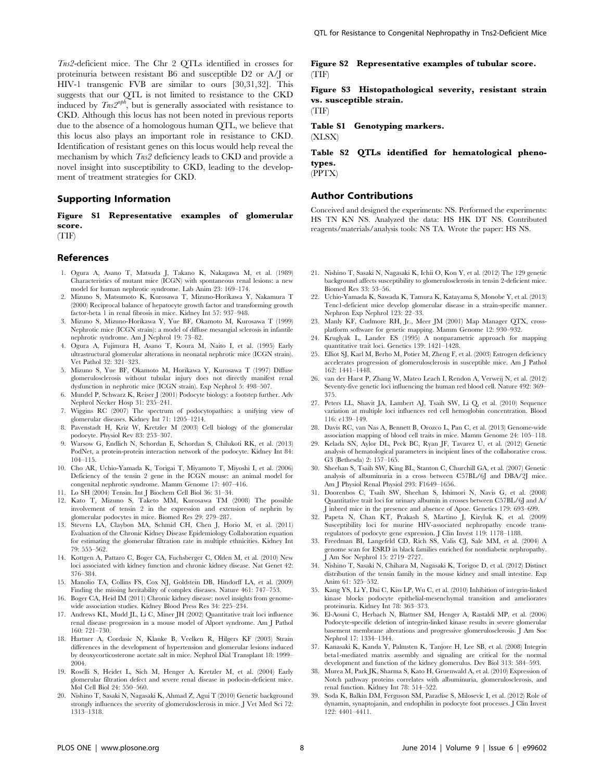Tns2-deficient mice. The Chr 2 QTLs identified in crosses for proteinuria between resistant B6 and susceptible D2 or A/J or HIV-1 transgenic FVB are similar to ours [30,31,32]. This suggests that our QTL is not limited to resistance to the CKD induced by  $T_{ns}2^{nph}$ , but is generally associated with resistance to CKD. Although this locus has not been noted in previous reports due to the absence of a homologous human QTL, we believe that this locus also plays an important role in resistance to CKD. Identification of resistant genes on this locus would help reveal the mechanism by which Tns2 deficiency leads to CKD and provide a novel insight into susceptibility to CKD, leading to the development of treatment strategies for CKD.

#### Supporting Information

Figure S1 Representative examples of glomerular score.

(TIF)

#### References

- 1. Ogura A, Asano T, Matsuda J, Takano K, Nakagawa M, et al. (1989) Characteristics of mutant mice (ICGN) with spontaneous renal lesions: a new model for human nephrotic syndrome. Lab Anim 23: 169–174.
- 2. Mizuno S, Matsumoto K, Kurosawa T, Mizuno-Horikawa Y, Nakamura T (2000) Reciprocal balance of hepatocyte growth factor and transforming growth factor-beta 1 in renal fibrosis in mice. Kidney Int 57: 937–948.
- 3. Mizuno S, Mizuno-Horikawa Y, Yue BF, Okamoto M, Kurosawa T (1999) Nephrotic mice (ICGN strain): a model of diffuse mesangial sclerosis in infantile nephrotic syndrome. Am J Nephrol 19: 73–82.
- 4. Ogura A, Fujimura H, Asano T, Koura M, Naito I, et al. (1995) Early ultrastructural glomerular alterations in neonatal nephrotic mice (ICGN strain). Vet Pathol 32: 321–323.
- 5. Mizuno S, Yue BF, Okamoto M, Horikawa Y, Kurosawa T (1997) Diffuse glomerulosclerosis without tubular injury does not directly manifest renal dysfunction in nephrotic mice (ICGN strain). Exp Nephrol 5: 498–507.
- 6. Mundel P, Schwarz K, Reiser J (2001) Podocyte biology: a footstep further. Adv Nephrol Necker Hosp 31: 235–241.
- 7. Wiggins RC (2007) The spectrum of podocytopathies: a unifying view of glomerular diseases. Kidney Int 71: 1205–1214.
- 8. Pavenstadt H, Kriz W, Kretzler M (2003) Cell biology of the glomerular podocyte. Physiol Rev 83: 253–307.
- 9. Warsow G, Endlich N, Schordan E, Schordan S, Chilukoti RK, et al. (2013) PodNet, a protein-protein interaction network of the podocyte. Kidney Int 84: 104–115.
- 10. Cho AR, Uchio-Yamada K, Torigai T, Miyamoto T, Miyoshi I, et al. (2006) Deficiency of the tensin 2 gene in the ICGN mouse: an animal model for congenital nephrotic syndrome. Mamm Genome 17: 407–416.
- 11. Lo SH (2004) Tensin. Int J Biochem Cell Biol 36: 31–34.
- 12. Kato T, Mizuno S, Taketo MM, Kurosawa TM (2008) The possible involvement of tensin 2 in the expression and extension of nephrin by glomerular podocytes in mice. Biomed Res 29: 279–287.
- 13. Stevens LA, Claybon MA, Schmid CH, Chen J, Horio M, et al. (2011) Evaluation of the Chronic Kidney Disease Epidemiology Collaboration equation for estimating the glomerular filtration rate in multiple ethnicities. Kidney Int 79: 555–562.
- 14. Kottgen A, Pattaro C, Boger CA, Fuchsberger C, Olden M, et al. (2010) New loci associated with kidney function and chronic kidney disease. Nat Genet 42: 376–384.
- 15. Manolio TA, Collins FS, Cox NJ, Goldstein DB, Hindorff LA, et al. (2009) Finding the missing heritability of complex diseases. Nature 461: 747–753.
- 16. Boger CA, Heid IM (2011) Chronic kidney disease: novel insights from genomewide association studies. Kidney Blood Press Res 34: 225–234.
- 17. Andrews KL, Mudd JL, Li C, Miner JH (2002) Quantitative trait loci influence renal disease progression in a mouse model of Alport syndrome. Am J Pathol 160: 721–730.
- 18. Hartner A, Cordasic N, Klanke B, Veelken R, Hilgers KF (2003) Strain differences in the development of hypertension and glomerular lesions induced by deoxycorticosterone acetate salt in mice. Nephrol Dial Transplant 18: 1999– 2004.
- 19. Roselli S, Heidet L, Sich M, Henger A, Kretzler M, et al. (2004) Early glomerular filtration defect and severe renal disease in podocin-deficient mice. Mol Cell Biol 24: 550–560.
- 20. Nishino T, Sasaki N, Nagasaki K, Ahmad Z, Agui T (2010) Genetic background strongly influences the severity of glomerulosclerosis in mice. J Vet Med Sci 72: 1313–1318.

Figure S2 Representative examples of tubular score. (TIF)

Figure S3 Histopathological severity, resistant strain vs. susceptible strain.

(TIF)

Table S1 Genotyping markers.

(XLSX)

Table S2 QTLs identified for hematological phenotypes. (PPTX)

#### Author Contributions

Conceived and designed the experiments: NS. Performed the experiments: HS TN KN NS. Analyzed the data: HS HK DT NS. Contributed reagents/materials/analysis tools: NS TA. Wrote the paper: HS NS.

- 21. Nishino T, Sasaki N, Nagasaki K, Ichii O, Kon Y, et al. (2012) The 129 genetic background affects susceptibility to glomerulosclerosis in tensin 2-deficient mice. Biomed Res 33: 53–56.
- 22. Uchio-Yamada K, Sawada K, Tamura K, Katayama S, Monobe Y, et al. (2013) Tenc1-deficient mice develop glomerular disease in a strain-specific manner. Nephron Exp Nephrol 123: 22–33.
- 23. Manly KF, Cudmore RH, Jr., Meer JM (2001) Map Manager QTX, crossplatform software for genetic mapping. Mamm Genome 12: 930–932.
- 24. Kruglyak L, Lander ES (1995) A nonparametric approach for mapping quantitative trait loci. Genetics 139: 1421–1428.
- 25. Elliot SJ, Karl M, Berho M, Potier M, Zheng F, et al. (2003) Estrogen deficiency accelerates progression of glomerulosclerosis in susceptible mice. Am J Pathol 162: 1441–1448.
- 26. van der Harst P, Zhang W, Mateo Leach I, Rendon A, Verweij N, et al. (2012) Seventy-five genetic loci influencing the human red blood cell. Nature 492: 369– 375.
- 27. Peters LL, Shavit JA, Lambert AJ, Tsaih SW, Li Q, et al. (2010) Sequence variation at multiple loci influences red cell hemoglobin concentration. Blood 116: e139–149.
- 28. Davis RC, van Nas A, Bennett B, Orozco L, Pan C, et al. (2013) Genome-wide association mapping of blood cell traits in mice. Mamm Genome 24: 105–118.
- 29. Kelada SN, Aylor DL, Peck BC, Ryan JF, Tavarez U, et al. (2012) Genetic analysis of hematological parameters in incipient lines of the collaborative cross. G3 (Bethesda) 2: 157–165.
- 30. Sheehan S, Tsaih SW, King BL, Stanton C, Churchill GA, et al. (2007) Genetic analysis of albuminuria in a cross between C57BL/6J and DBA/2J mice. Am J Physiol Renal Physiol 293: F1649–1656.
- 31. Doorenbos C, Tsaih SW, Sheehan S, Ishimori N, Navis G, et al. (2008) Quantitative trait loci for urinary albumin in crosses between C57BL/6J and A/ J inbred mice in the presence and absence of Apoe. Genetics 179: 693–699.
- 32. Papeta N, Chan KT, Prakash S, Martino J, Kiryluk K, et al. (2009) Susceptibility loci for murine HIV-associated nephropathy encode transregulators of podocyte gene expression. J Clin Invest 119: 1178–1188.
- 33. Freedman BI, Langefeld CD, Rich SS, Valis CJ, Sale MM, et al. (2004) A genome scan for ESRD in black families enriched for nondiabetic nephropathy. Am Soc Nephrol 15: 2719–2727.
- 34. Nishino T, Sasaki N, Chihara M, Nagasaki K, Torigoe D, et al. (2012) Distinct distribution of the tensin family in the mouse kidney and small intestine. Exp Anim 61: 525–532.
- 35. Kang YS, Li Y, Dai C, Kiss LP, Wu C, et al. (2010) Inhibition of integrin-linked kinase blocks podocyte epithelial-mesenchymal transition and ameliorates proteinuria. Kidney Int 78: 363–373.
- 36. El-Aouni C, Herbach N, Blattner SM, Henger A, Rastaldi MP, et al. (2006) Podocyte-specific deletion of integrin-linked kinase results in severe glomerular basement membrane alterations and progressive glomerulosclerosis. J Am Soc Nephrol 17: 1334–1344.
- 37. Kanasaki K, Kanda Y, Palmsten K, Tanjore H, Lee SB, et al. (2008) Integrin beta1-mediated matrix assembly and signaling are critical for the normal development and function of the kidney glomerulus. Dev Biol 313: 584–593.
- 38. Murea M, Park JK, Sharma S, Kato H, Gruenwald A, et al. (2010) Expression of Notch pathway proteins correlates with albuminuria, glomerulosclerosis, and renal function. Kidney Int 78: 514–522.
- 39. Soda K, Balkin DM, Ferguson SM, Paradise S, Milosevic I, et al. (2012) Role of dynamin, synaptojanin, and endophilin in podocyte foot processes. J Clin Invest 122: 4401–4411.